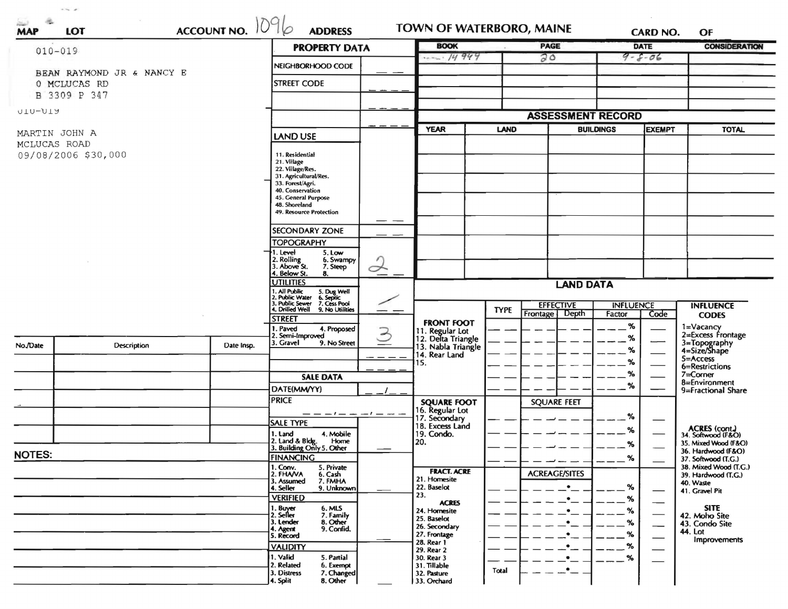|               | ACCOUNT NO. 1096<br>$010 - 019$ | <b>PROPERTY DATA</b>      |                                                                              |             |                                                                              | <b>PAGE</b> |                          | <b>DATE</b>      | OF<br><b>CONSIDERATION</b>  |                                              |
|---------------|---------------------------------|---------------------------|------------------------------------------------------------------------------|-------------|------------------------------------------------------------------------------|-------------|--------------------------|------------------|-----------------------------|----------------------------------------------|
|               |                                 |                           |                                                                              | 14949       |                                                                              | 20          |                          | $9 - 8 - 06$     |                             |                                              |
|               | BEAN RAYMOND JR & NANCY E       |                           | NEIGHBORHOOD CODE                                                            |             |                                                                              |             |                          |                  |                             |                                              |
|               | 0 MCLUCAS RD                    |                           | <b>STREET CODE</b>                                                           |             |                                                                              |             |                          |                  |                             |                                              |
| B             | 3309 P 347                      |                           |                                                                              |             |                                                                              |             |                          |                  |                             |                                              |
| UIU-UIY       |                                 |                           |                                                                              |             |                                                                              |             | <b>ASSESSMENT RECORD</b> |                  |                             |                                              |
|               |                                 |                           |                                                                              | <b>YEAR</b> | <b>LAND</b>                                                                  |             | <b>BUILDINGS</b>         | <b>EXEMPT</b>    | <b>TOTAL</b>                |                                              |
|               | MARTIN JOHN A<br>MCLUCAS ROAD   | <b>LAND USE</b>           |                                                                              |             |                                                                              |             |                          |                  |                             |                                              |
|               | 09/08/2006 \$30,000             | 11. Residential           |                                                                              |             |                                                                              |             |                          |                  |                             |                                              |
|               |                                 | 21. Village               |                                                                              |             |                                                                              |             |                          |                  |                             |                                              |
|               |                                 |                           | 22. Village/Res.<br>31. Agricultural/Res.                                    |             |                                                                              |             |                          |                  |                             |                                              |
|               |                                 |                           | 33. Forest/Agri.<br>40. Conservation                                         |             |                                                                              |             |                          |                  |                             |                                              |
|               |                                 |                           | 45. General Purpose                                                          |             |                                                                              |             |                          |                  |                             |                                              |
|               |                                 |                           | 48. Shoreland<br>49. Resource Protection                                     |             |                                                                              |             |                          |                  |                             |                                              |
|               |                                 |                           |                                                                              |             |                                                                              |             |                          |                  |                             |                                              |
|               |                                 |                           | <b>SECONDARY ZONE</b>                                                        |             |                                                                              |             |                          |                  |                             |                                              |
|               |                                 |                           | <b>TOPOGRAPHY</b>                                                            |             |                                                                              |             |                          |                  |                             |                                              |
|               |                                 |                           | 1. Level<br>5. Low<br>2. Rolling<br>3. Above St.<br>6. Swampy                |             |                                                                              |             |                          |                  |                             |                                              |
|               |                                 |                           | 7. Steep<br>4. Below St.<br>8.                                               | $\prec$     |                                                                              |             |                          |                  |                             |                                              |
|               |                                 |                           | <b>UTILITIES</b>                                                             | --          | <b>LAND DATA</b>                                                             |             |                          |                  |                             |                                              |
|               |                                 |                           | 1. All Public<br>5. Dug Well<br>6. Septic<br>7. Cess Pool<br>2. Public Water |             |                                                                              |             |                          |                  |                             |                                              |
|               |                                 |                           | 3. Public Sewer<br>4. Drilled Well<br>9. No Utilities                        |             |                                                                              | <b>TYPE</b> | <b>EFFECTIVE</b>         | <b>INFLUENCE</b> |                             | <b>INFLUENCE</b>                             |
|               |                                 |                           | <b>STREET</b>                                                                |             | <b>FRONT FOOT</b>                                                            |             | Depth<br>Frontage        | Factor           | Code                        | <b>CODES</b>                                 |
|               |                                 |                           | 1. Paved<br>4. Proposed                                                      | $\geq$      |                                                                              |             |                          | %                |                             | 1=Vacancy<br>2=Excess Frontage               |
| No./Date      | <b>Description</b>              | Date Insp.                | 2. Semi-Improved<br>3. Gravel<br>9. No Street                                |             | 11. Regular Lot<br>12. Delta Triangle<br>13. Nabla Triangle<br>14. Rear Land |             |                          | %                |                             | 3=Topography<br>4=Size/Shape                 |
|               |                                 |                           |                                                                              |             |                                                                              |             |                          | %                |                             | 5=Access                                     |
|               |                                 |                           |                                                                              |             | 15.                                                                          |             |                          | $\%$             |                             | 6=Restrictions                               |
|               |                                 |                           | <b>SALE DATA</b>                                                             |             |                                                                              |             |                          | $\%$             |                             | 7=Corner                                     |
|               |                                 |                           | DATE(MM/YY)                                                                  |             |                                                                              |             |                          | %                |                             | 8=Environment<br>9=Fractional Share          |
|               |                                 |                           | <b>PRICE</b>                                                                 |             | <b>SQUARE FOOT</b>                                                           |             | <b>SQUARE FEET</b>       |                  |                             |                                              |
|               |                                 |                           | — — — 1 — —                                                                  | $-1-$       | 16. Regular Lot<br>17. Secondary                                             |             |                          | %                |                             |                                              |
|               |                                 |                           | <b>SALE TYPE</b>                                                             |             | 18. Excess Land                                                              |             |                          |                  |                             | <b>ACRES</b> (cont.)                         |
|               |                                 |                           | 1. Land<br>4. Mobile<br>Home                                                 |             | 19. Condo.                                                                   |             |                          | ℅                |                             | 34. Softwood (F&O)                           |
|               |                                 |                           | 2. Land & Bldg. Home<br>3. Building Only 5. Other                            |             | 20.                                                                          |             |                          | %                |                             | 35. Mixed Wood (F&O)<br>36. Hardwood (F&O)   |
| <b>NOTES:</b> |                                 |                           | <b>FINANCING</b>                                                             |             |                                                                              |             |                          | ℅                |                             | 37. Softwood (T.G.)                          |
|               |                                 |                           | 1. Conv.<br>5. Private<br>2. FHANA<br>6. Cash                                |             | <b>FRACT. ACRE</b>                                                           |             | <b>ACREAGE/SITES</b>     |                  |                             | 38. Mixed Wood (T.G.)<br>39. Hardwood (T.G.) |
|               |                                 |                           | 3. Assumed<br>7. FMHA<br>4. Seller<br>9. Unknown                             |             | 21. Homesite<br>22. Baselot                                                  |             |                          | %                |                             | 40. Waste                                    |
|               |                                 |                           | <b>VERIFIED</b>                                                              |             | 23.                                                                          |             | $\bullet$                | ℅                |                             | 41. Gravel Pit                               |
|               |                                 |                           | 1. Buyer<br>6. MLS                                                           |             | <b>ACRES</b><br>24. Homesite                                                 |             | ٠                        | %                |                             | <b>SITE</b>                                  |
|               |                                 |                           | 2. Seller<br>7. Family<br>8. Other<br>3. Lender                              |             | 25. Baselot                                                                  |             | $\bullet$                | %                | $\overbrace{\hspace{27mm}}$ | 42. Moho Site<br>43. Condo Site              |
|               |                                 |                           | 9. Confid.<br>4. Agent                                                       |             | 26. Secondary<br>27. Frontage                                                |             |                          | ℅                | —                           | 44. Lot                                      |
|               |                                 |                           | 5. Record<br><b>VALIDITY</b>                                                 |             | 28. Rear 1                                                                   |             |                          | %                |                             | Improvements                                 |
|               |                                 |                           | 1. Valid<br>5. Partial                                                       |             | 29. Rear 2<br>30. Rear 3                                                     |             | $\bullet$                | %                | $\hspace{0.1cm}$            |                                              |
|               |                                 |                           | 2. Related<br>6. Exempt                                                      |             | 31. Tillable                                                                 |             |                          |                  |                             |                                              |
|               |                                 | 7. Changed<br>3. Distress |                                                                              | 32. Pasture | Total                                                                        | $\cdot$ $-$ |                          |                  |                             |                                              |